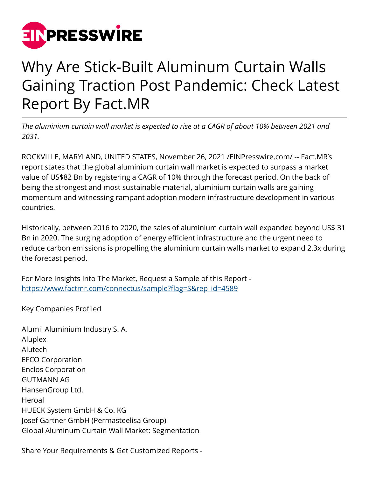

## Why Are Stick-Built Aluminum Curtain Walls Gaining Traction Post Pandemic: Check Latest Report By Fact.MR

*The aluminium curtain wall market is expected to rise at a CAGR of about 10% between 2021 and 2031.*

ROCKVILLE, MARYLAND, UNITED STATES, November 26, 2021 [/EINPresswire.com](http://www.einpresswire.com)/ -- Fact.MR's report states that the global aluminium curtain wall market is expected to surpass a market value of US\$82 Bn by registering a CAGR of 10% through the forecast period. On the back of being the strongest and most sustainable material, aluminium curtain walls are gaining momentum and witnessing rampant adoption modern infrastructure development in various countries.

Historically, between 2016 to 2020, the sales of aluminium curtain wall expanded beyond US\$ 31 Bn in 2020. The surging adoption of energy efficient infrastructure and the urgent need to reduce carbon emissions is propelling the aluminium curtain walls market to expand 2.3x during the forecast period.

For More Insights Into The Market, Request a Sample of this Report [https://www.factmr.com/connectus/sample?flag=S&rep\\_id=4589](https://www.factmr.com/connectus/sample?flag=S&rep_id=4589)

Key Companies Profiled

Alumil Aluminium Industry S. A, Aluplex Alutech EFCO Corporation Enclos Corporation GUTMANN AG HansenGroup Ltd. Heroal HUECK System GmbH & Co. KG Josef Gartner GmbH (Permasteelisa Group) Global Aluminum Curtain Wall Market: Segmentation

Share Your Requirements & Get Customized Reports -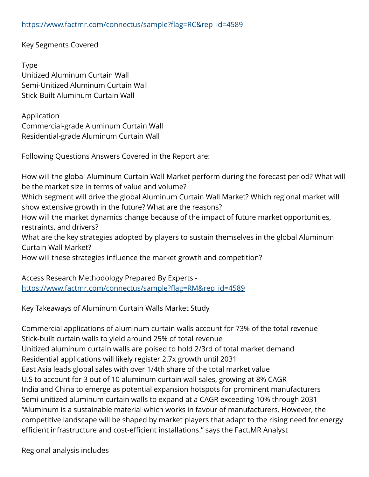Key Segments Covered

Type Unitized Aluminum Curtain Wall Semi-Unitized Aluminum Curtain Wall Stick-Built Aluminum Curtain Wall

Application Commercial-grade Aluminum Curtain Wall Residential-grade Aluminum Curtain Wall

Following Questions Answers Covered in the Report are:

How will the global Aluminum Curtain Wall Market perform during the forecast period? What will be the market size in terms of value and volume?

Which segment will drive the global Aluminum Curtain Wall Market? Which regional market will show extensive growth in the future? What are the reasons?

How will the market dynamics change because of the impact of future market opportunities, restraints, and drivers?

What are the key strategies adopted by players to sustain themselves in the global Aluminum Curtain Wall Market?

How will these strategies influence the market growth and competition?

Access Research Methodology Prepared By Experts [https://www.factmr.com/connectus/sample?flag=RM&rep\\_id=4589](https://www.factmr.com/connectus/sample?flag=RM&rep_id=4589)

Key Takeaways of Aluminum Curtain Walls Market Study

Commercial applications of aluminum curtain walls account for 73% of the total revenue Stick-built curtain walls to yield around 25% of total revenue Unitized aluminum curtain walls are poised to hold 2/3rd of total market demand Residential applications will likely register 2.7x growth until 2031 East Asia leads global sales with over 1/4th share of the total market value U.S to account for 3 out of 10 aluminum curtain wall sales, growing at 8% CAGR India and China to emerge as potential expansion hotspots for prominent manufacturers Semi-unitized aluminum curtain walls to expand at a CAGR exceeding 10% through 2031 "Aluminum is a sustainable material which works in favour of manufacturers. However, the competitive landscape will be shaped by market players that adapt to the rising need for energy efficient infrastructure and cost-efficient installations." says the Fact.MR Analyst

Regional analysis includes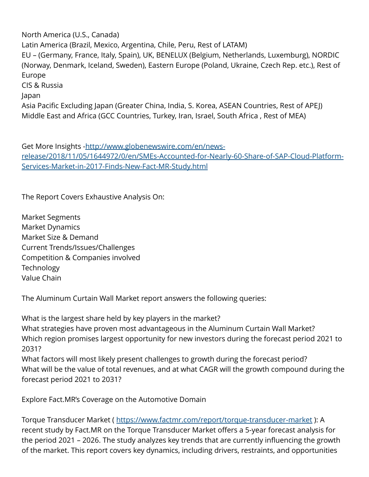North America (U.S., Canada) Latin America (Brazil, Mexico, Argentina, Chile, Peru, Rest of LATAM) EU – (Germany, France, Italy, Spain), UK, BENELUX (Belgium, Netherlands, Luxemburg), NORDIC (Norway, Denmark, Iceland, Sweden), Eastern Europe (Poland, Ukraine, Czech Rep. etc.), Rest of Europe CIS & Russia Japan Asia Pacific Excluding Japan (Greater China, India, S. Korea, ASEAN Countries, Rest of APEJ) Middle East and Africa (GCC Countries, Turkey, Iran, Israel, South Africa , Rest of MEA)

Get More Insights -[http://www.globenewswire.com/en/news](http://www.globenewswire.com/en/news-release/2018/11/05/1644972/0/en/SMEs-Accounted-for-Nearly-60-Share-of-SAP-Cloud-Platform-Services-Market-in-2017-Finds-New-Fact-MR-Study.html)[release/2018/11/05/1644972/0/en/SMEs-Accounted-for-Nearly-60-Share-of-SAP-Cloud-Platform-](http://www.globenewswire.com/en/news-release/2018/11/05/1644972/0/en/SMEs-Accounted-for-Nearly-60-Share-of-SAP-Cloud-Platform-Services-Market-in-2017-Finds-New-Fact-MR-Study.html)[Services-Market-in-2017-Finds-New-Fact-MR-Study.html](http://www.globenewswire.com/en/news-release/2018/11/05/1644972/0/en/SMEs-Accounted-for-Nearly-60-Share-of-SAP-Cloud-Platform-Services-Market-in-2017-Finds-New-Fact-MR-Study.html)

The Report Covers Exhaustive Analysis On:

Market Segments Market Dynamics Market Size & Demand Current Trends/Issues/Challenges Competition & Companies involved **Technology** Value Chain

The Aluminum Curtain Wall Market report answers the following queries:

What is the largest share held by key players in the market? What strategies have proven most advantageous in the Aluminum Curtain Wall Market? Which region promises largest opportunity for new investors during the forecast period 2021 to 2031?

What factors will most likely present challenges to growth during the forecast period? What will be the value of total revenues, and at what CAGR will the growth compound during the forecast period 2021 to 2031?

Explore Fact.MR's Coverage on the Automotive Domain

Torque Transducer Market ( <https://www.factmr.com/report/torque-transducer-market> ): A recent study by Fact.MR on the Torque Transducer Market offers a 5-year forecast analysis for the period 2021 – 2026. The study analyzes key trends that are currently influencing the growth of the market. This report covers key dynamics, including drivers, restraints, and opportunities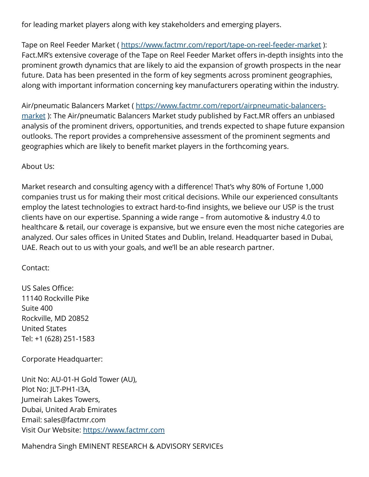for leading market players along with key stakeholders and emerging players.

Tape on Reel Feeder Market (<https://www.factmr.com/report/tape-on-reel-feeder-market> ): Fact.MR's extensive coverage of the Tape on Reel Feeder Market offers in-depth insights into the prominent growth dynamics that are likely to aid the expansion of growth prospects in the near future. Data has been presented in the form of key segments across prominent geographies, along with important information concerning key manufacturers operating within the industry.

Air/pneumatic Balancers Market ( [https://www.factmr.com/report/airpneumatic-balancers](https://www.factmr.com/report/airpneumatic-balancers-market)[market](https://www.factmr.com/report/airpneumatic-balancers-market) ): The Air/pneumatic Balancers Market study published by Fact.MR offers an unbiased analysis of the prominent drivers, opportunities, and trends expected to shape future expansion outlooks. The report provides a comprehensive assessment of the prominent segments and geographies which are likely to benefit market players in the forthcoming years.

## About Us:

Market research and consulting agency with a difference! That's why 80% of Fortune 1,000 companies trust us for making their most critical decisions. While our experienced consultants employ the latest technologies to extract hard-to-find insights, we believe our USP is the trust clients have on our expertise. Spanning a wide range – from automotive & industry 4.0 to healthcare & retail, our coverage is expansive, but we ensure even the most niche categories are analyzed. Our sales offices in United States and Dublin, Ireland. Headquarter based in Dubai, UAE. Reach out to us with your goals, and we'll be an able research partner.

## Contact:

US Sales Office: 11140 Rockville Pike Suite 400 Rockville, MD 20852 United States Tel: +1 (628) 251-1583

Corporate Headquarter:

Unit No: AU-01-H Gold Tower (AU), Plot No: JLT-PH1-I3A, Jumeirah Lakes Towers, Dubai, United Arab Emirates Email: sales@factmr.com Visit Our Website: <https://www.factmr.com>

Mahendra Singh EMINENT RESEARCH & ADVISORY SERVICEs